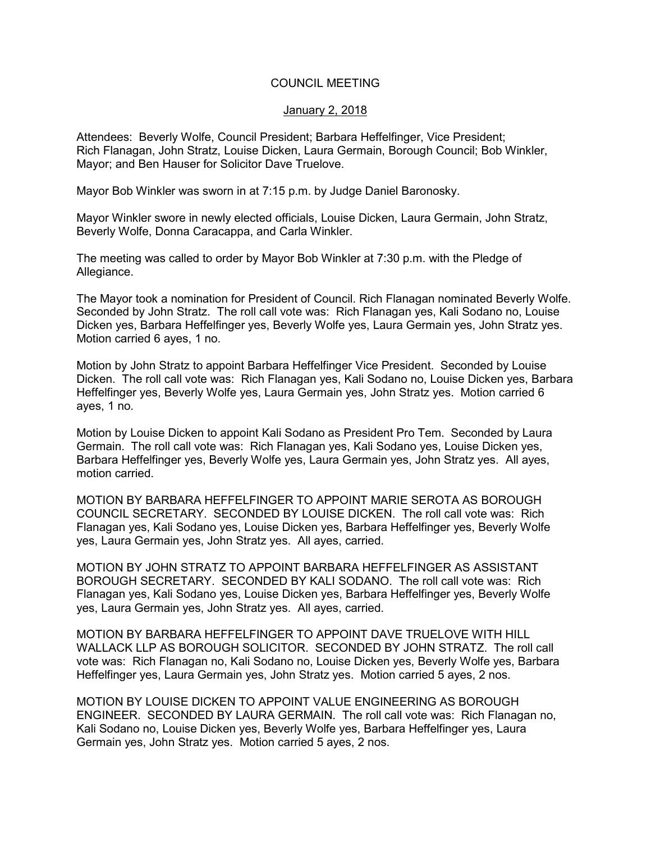## COUNCIL MEETING

## January 2, 2018

Attendees: Beverly Wolfe, Council President; Barbara Heffelfinger, Vice President; Rich Flanagan, John Stratz, Louise Dicken, Laura Germain, Borough Council; Bob Winkler, Mayor; and Ben Hauser for Solicitor Dave Truelove.

Mayor Bob Winkler was sworn in at 7:15 p.m. by Judge Daniel Baronosky.

Mayor Winkler swore in newly elected officials, Louise Dicken, Laura Germain, John Stratz, Beverly Wolfe, Donna Caracappa, and Carla Winkler.

The meeting was called to order by Mayor Bob Winkler at 7:30 p.m. with the Pledge of Allegiance.

The Mayor took a nomination for President of Council. Rich Flanagan nominated Beverly Wolfe. Seconded by John Stratz. The roll call vote was: Rich Flanagan yes, Kali Sodano no, Louise Dicken yes, Barbara Heffelfinger yes, Beverly Wolfe yes, Laura Germain yes, John Stratz yes. Motion carried 6 ayes, 1 no.

Motion by John Stratz to appoint Barbara Heffelfinger Vice President. Seconded by Louise Dicken. The roll call vote was: Rich Flanagan yes, Kali Sodano no, Louise Dicken yes, Barbara Heffelfinger yes, Beverly Wolfe yes, Laura Germain yes, John Stratz yes. Motion carried 6 ayes, 1 no.

Motion by Louise Dicken to appoint Kali Sodano as President Pro Tem. Seconded by Laura Germain. The roll call vote was: Rich Flanagan yes, Kali Sodano yes, Louise Dicken yes, Barbara Heffelfinger yes, Beverly Wolfe yes, Laura Germain yes, John Stratz yes. All ayes, motion carried.

MOTION BY BARBARA HEFFELFINGER TO APPOINT MARIE SEROTA AS BOROUGH COUNCIL SECRETARY. SECONDED BY LOUISE DICKEN. The roll call vote was: Rich Flanagan yes, Kali Sodano yes, Louise Dicken yes, Barbara Heffelfinger yes, Beverly Wolfe yes, Laura Germain yes, John Stratz yes. All ayes, carried.

MOTION BY JOHN STRATZ TO APPOINT BARBARA HEFFELFINGER AS ASSISTANT BOROUGH SECRETARY. SECONDED BY KALI SODANO. The roll call vote was: Rich Flanagan yes, Kali Sodano yes, Louise Dicken yes, Barbara Heffelfinger yes, Beverly Wolfe yes, Laura Germain yes, John Stratz yes. All ayes, carried.

MOTION BY BARBARA HEFFELFINGER TO APPOINT DAVE TRUELOVE WITH HILL WALLACK LLP AS BOROUGH SOLICITOR. SECONDED BY JOHN STRATZ. The roll call vote was: Rich Flanagan no, Kali Sodano no, Louise Dicken yes, Beverly Wolfe yes, Barbara Heffelfinger yes, Laura Germain yes, John Stratz yes. Motion carried 5 ayes, 2 nos.

MOTION BY LOUISE DICKEN TO APPOINT VALUE ENGINEERING AS BOROUGH ENGINEER. SECONDED BY LAURA GERMAIN. The roll call vote was: Rich Flanagan no, Kali Sodano no, Louise Dicken yes, Beverly Wolfe yes, Barbara Heffelfinger yes, Laura Germain yes, John Stratz yes. Motion carried 5 ayes, 2 nos.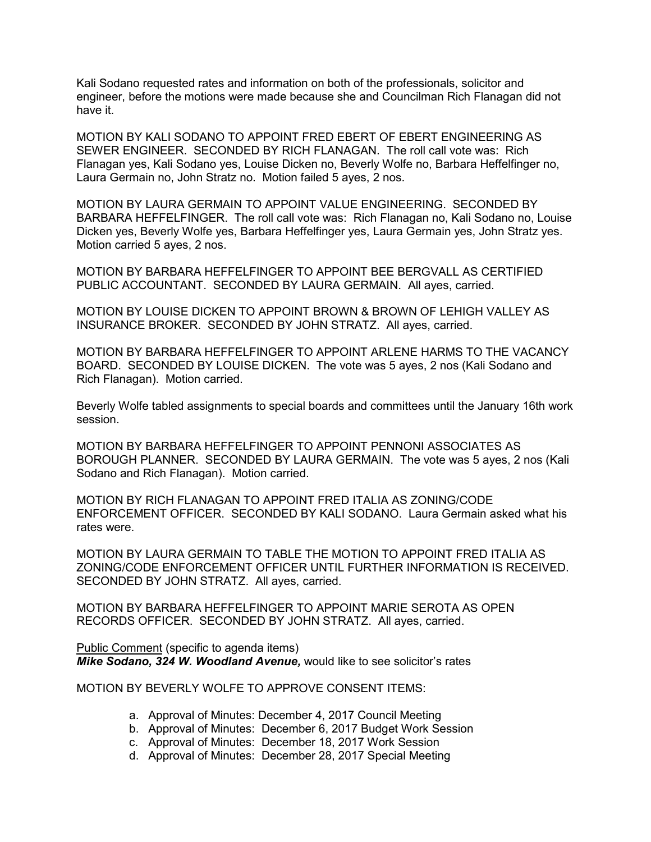Kali Sodano requested rates and information on both of the professionals, solicitor and engineer, before the motions were made because she and Councilman Rich Flanagan did not have it.

MOTION BY KALI SODANO TO APPOINT FRED EBERT OF EBERT ENGINEERING AS SEWER ENGINEER. SECONDED BY RICH FLANAGAN. The roll call vote was: Rich Flanagan yes, Kali Sodano yes, Louise Dicken no, Beverly Wolfe no, Barbara Heffelfinger no, Laura Germain no, John Stratz no. Motion failed 5 ayes, 2 nos.

MOTION BY LAURA GERMAIN TO APPOINT VALUE ENGINEERING. SECONDED BY BARBARA HEFFELFINGER. The roll call vote was: Rich Flanagan no, Kali Sodano no, Louise Dicken yes, Beverly Wolfe yes, Barbara Heffelfinger yes, Laura Germain yes, John Stratz yes. Motion carried 5 ayes, 2 nos.

MOTION BY BARBARA HEFFELFINGER TO APPOINT BEE BERGVALL AS CERTIFIED PUBLIC ACCOUNTANT. SECONDED BY LAURA GERMAIN. All ayes, carried.

MOTION BY LOUISE DICKEN TO APPOINT BROWN & BROWN OF LEHIGH VALLEY AS INSURANCE BROKER. SECONDED BY JOHN STRATZ. All ayes, carried.

MOTION BY BARBARA HEFFELFINGER TO APPOINT ARLENE HARMS TO THE VACANCY BOARD. SECONDED BY LOUISE DICKEN. The vote was 5 ayes, 2 nos (Kali Sodano and Rich Flanagan). Motion carried.

Beverly Wolfe tabled assignments to special boards and committees until the January 16th work session.

MOTION BY BARBARA HEFFELFINGER TO APPOINT PENNONI ASSOCIATES AS BOROUGH PLANNER. SECONDED BY LAURA GERMAIN. The vote was 5 ayes, 2 nos (Kali Sodano and Rich Flanagan). Motion carried.

MOTION BY RICH FLANAGAN TO APPOINT FRED ITALIA AS ZONING/CODE ENFORCEMENT OFFICER. SECONDED BY KALI SODANO. Laura Germain asked what his rates were.

MOTION BY LAURA GERMAIN TO TABLE THE MOTION TO APPOINT FRED ITALIA AS ZONING/CODE ENFORCEMENT OFFICER UNTIL FURTHER INFORMATION IS RECEIVED. SECONDED BY JOHN STRATZ. All ayes, carried.

MOTION BY BARBARA HEFFELFINGER TO APPOINT MARIE SEROTA AS OPEN RECORDS OFFICER. SECONDED BY JOHN STRATZ. All ayes, carried.

Public Comment (specific to agenda items) *Mike Sodano, 324 W. Woodland Avenue,* would like to see solicitor's rates

MOTION BY BEVERLY WOLFE TO APPROVE CONSENT ITEMS:

- a. Approval of Minutes: December 4, 2017 Council Meeting
- b. Approval of Minutes: December 6, 2017 Budget Work Session
- c. Approval of Minutes: December 18, 2017 Work Session
- d. Approval of Minutes: December 28, 2017 Special Meeting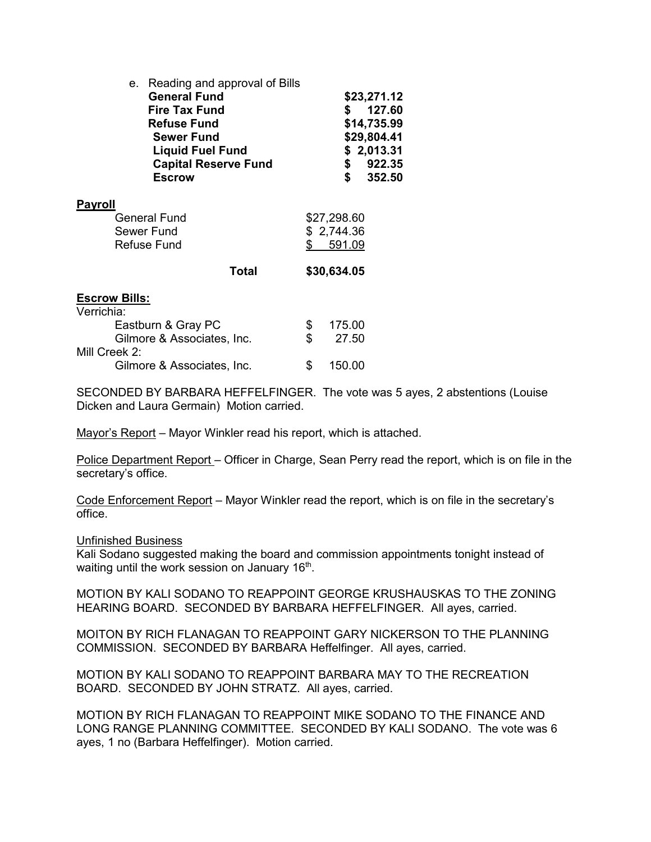| Reading and approval of Bills<br>e.<br><b>General Fund</b><br><b>Fire Tax Fund</b><br><b>Refuse Fund</b><br><b>Sewer Fund</b><br><b>Liquid Fuel Fund</b><br><b>Capital Reserve Fund</b><br><b>Escrow</b> |     | S.<br>\$<br>\$                      | \$23,271.12<br>127.60<br>\$14,735.99<br>\$29,804.41<br>\$2,013.31<br>922.35<br>352.50 |
|----------------------------------------------------------------------------------------------------------------------------------------------------------------------------------------------------------|-----|-------------------------------------|---------------------------------------------------------------------------------------|
| <b>Payroll</b><br>General Fund<br>Sewer Fund<br>Refuse Fund                                                                                                                                              | \$  | \$27,298.60<br>\$2,744.36<br>591.09 |                                                                                       |
| Total                                                                                                                                                                                                    |     | \$30,634.05                         |                                                                                       |
| <b>Escrow Bills:</b><br>Verrichia:                                                                                                                                                                       |     |                                     |                                                                                       |
| Eastburn & Gray PC                                                                                                                                                                                       | \$. | 175.00                              |                                                                                       |
| Gilmore & Associates, Inc.                                                                                                                                                                               | \$  | 27.50                               |                                                                                       |
| Mill Creek 2:                                                                                                                                                                                            |     |                                     |                                                                                       |
| Gilmore & Associates, Inc.                                                                                                                                                                               | \$  | 150.00                              |                                                                                       |

SECONDED BY BARBARA HEFFELFINGER. The vote was 5 ayes, 2 abstentions (Louise Dicken and Laura Germain) Motion carried.

Mayor's Report – Mayor Winkler read his report, which is attached.

Police Department Report – Officer in Charge, Sean Perry read the report, which is on file in the secretary's office.

Code Enforcement Report – Mayor Winkler read the report, which is on file in the secretary's office.

Unfinished Business

Kali Sodano suggested making the board and commission appointments tonight instead of waiting until the work session on January  $16<sup>th</sup>$ .

MOTION BY KALI SODANO TO REAPPOINT GEORGE KRUSHAUSKAS TO THE ZONING HEARING BOARD. SECONDED BY BARBARA HEFFELFINGER. All ayes, carried.

MOITON BY RICH FLANAGAN TO REAPPOINT GARY NICKERSON TO THE PLANNING COMMISSION. SECONDED BY BARBARA Heffelfinger. All ayes, carried.

MOTION BY KALI SODANO TO REAPPOINT BARBARA MAY TO THE RECREATION BOARD. SECONDED BY JOHN STRATZ. All ayes, carried.

MOTION BY RICH FLANAGAN TO REAPPOINT MIKE SODANO TO THE FINANCE AND LONG RANGE PLANNING COMMITTEE. SECONDED BY KALI SODANO. The vote was 6 ayes, 1 no (Barbara Heffelfinger). Motion carried.